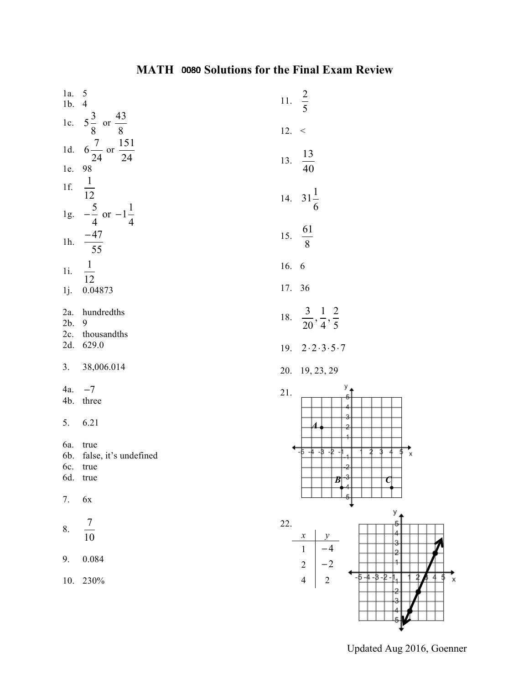| $1a. 5$<br>$1b. 4$ |                                                             | 11. $\frac{2}{5}$                               |
|--------------------|-------------------------------------------------------------|-------------------------------------------------|
|                    | 1c. $5\frac{3}{8}$ or $\frac{43}{8}$                        | 12. <                                           |
|                    | 1d. $6\frac{7}{24}$ or $\frac{151}{24}$                     | $\frac{13}{40}$<br>13.                          |
| 1e. 98             |                                                             |                                                 |
|                    | 1f. $\frac{1}{12}$<br>1g. $-\frac{5}{4}$ or $-1\frac{1}{4}$ | 14. $31\frac{1}{6}$                             |
|                    |                                                             |                                                 |
|                    | 1h. $\frac{-47}{55}$                                        | 15. $\frac{61}{8}$                              |
|                    | 1i. $\frac{1}{12}$                                          | 16. 6                                           |
| 1j.                | 0.04873                                                     | 17. 36                                          |
| 2a.<br>2b.         | hundredths<br>9                                             | 18. $\frac{3}{20}, \frac{1}{4}, \frac{2}{5}$    |
| 2c.<br>2d.         | thousandths<br>629.0                                        | 2.2.3.5.7<br>19.                                |
| 3.                 | 38,006.014                                                  | 20. 19, 23, 29                                  |
| 4a.                | $-7$                                                        | $21.$                                           |
| 4b.                | three                                                       |                                                 |
| 5.                 | 6.21                                                        | 4                                               |
| 6a.                | true                                                        | $-5 - 4 - 3 - 2$                                |
| 6b.                | false, it's undefined                                       | x                                               |
| 6c.                | true<br>6d. true                                            | o                                               |
|                    |                                                             | В<br>$\mathbf C$                                |
| 7.                 | $6x$                                                        |                                                 |
|                    |                                                             | У,<br>22.                                       |
| 8.                 | $\frac{7}{10}$                                              | $\mathcal{Y}$<br>$\boldsymbol{x}$               |
| 9.                 | 0.084                                                       | $\mathbf{1}$<br>$-4$<br>$\overline{2}$<br>$-2$  |
|                    | 10. 230%                                                    | -5 -4 -8 -2<br>$\overline{4}$<br>$\overline{c}$ |
|                    |                                                             |                                                 |
|                    |                                                             |                                                 |

Updated Aug 2016, Goenner

₹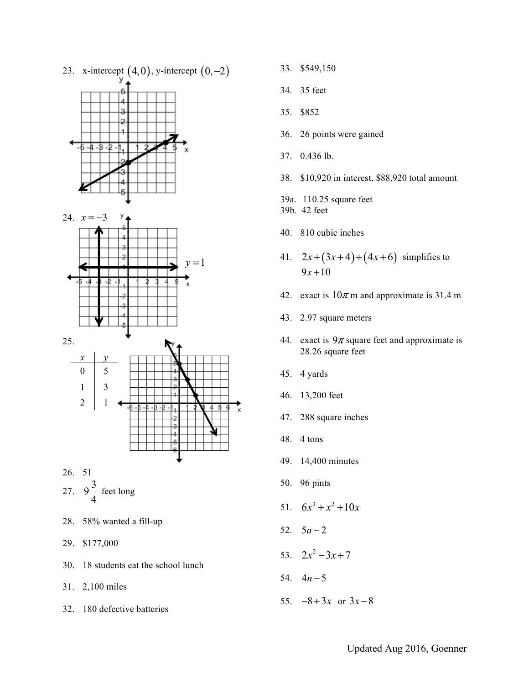

- 29. \$177,000
- 30. 18 students eat the school lunch
- 31. 2,100 miles
- 32. 180 defective batteries
- 33. \$549,150
- 34. 35 feet
- 35. \$852
- 36. 26 points were gained
- 37. 0.436 lb.
- 38. \$10,920 in interest, \$88,920 total amount
- 39a. 110.25 square feet
- 39b. 42 feet
- 40. 810 cubic inches
- 41.  $2x + (3x+4) + (4x+6)$  simplifies to  $9x + 10$
- 42. exact is  $10\pi$  m and approximate is 31.4 m
- 43. 2.97 square meters
- 44. exact is  $9\pi$  square feet and approximate is 28.26 square feet
- 45. 4 yards
- 46. 13,200 feet
- 47. 288 square inches
- 48. 4 tons
- 49. 14,400 minutes
- 50. 96 pints
- 51.  $6x^3 + x^2 + 10x$
- 52.  $5a-2$
- 53.  $2x^2 3x + 7$
- 54.  $4n-5$
- 55.  $-8 + 3x$  or  $3x 8$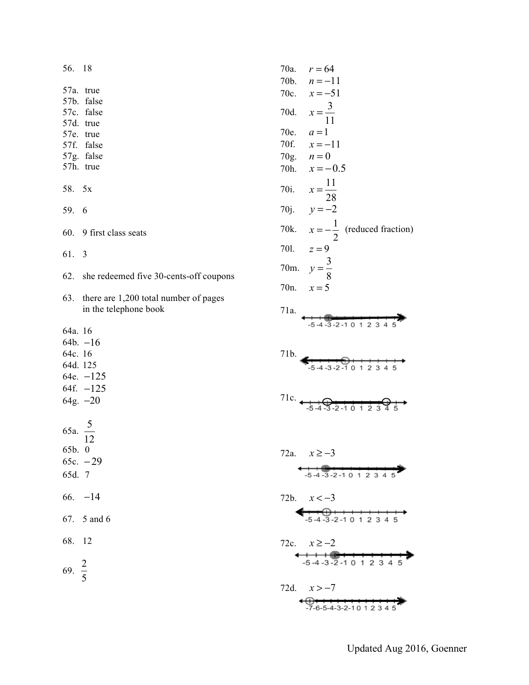| 56. 18              |                                                                |                  | 70a. $r = 64$                                                                                                                                                                                                                                                                                                                                                                                                                                                                            |
|---------------------|----------------------------------------------------------------|------------------|------------------------------------------------------------------------------------------------------------------------------------------------------------------------------------------------------------------------------------------------------------------------------------------------------------------------------------------------------------------------------------------------------------------------------------------------------------------------------------------|
|                     |                                                                | 70b.             | $n = -11$                                                                                                                                                                                                                                                                                                                                                                                                                                                                                |
|                     | 57a. true                                                      | 70c.             | $x = -51$                                                                                                                                                                                                                                                                                                                                                                                                                                                                                |
|                     | 57b. false<br>57c. false                                       | 70d.             |                                                                                                                                                                                                                                                                                                                                                                                                                                                                                          |
|                     | 57d. true                                                      |                  | $x = \frac{3}{11}$                                                                                                                                                                                                                                                                                                                                                                                                                                                                       |
|                     | 57e. true                                                      | 70e.             | $a=1$                                                                                                                                                                                                                                                                                                                                                                                                                                                                                    |
|                     | 57f. false                                                     | 70f.             | $x = -11$                                                                                                                                                                                                                                                                                                                                                                                                                                                                                |
|                     | 57g. false                                                     | 70g.             | $n=0$                                                                                                                                                                                                                                                                                                                                                                                                                                                                                    |
|                     | 57h. true                                                      | 70h.             | $x = -0.5$                                                                                                                                                                                                                                                                                                                                                                                                                                                                               |
| 58. 5x              |                                                                | 70i.             | $x = \frac{11}{28}$                                                                                                                                                                                                                                                                                                                                                                                                                                                                      |
| 59. 6               |                                                                |                  | 70j. $y = -2$                                                                                                                                                                                                                                                                                                                                                                                                                                                                            |
|                     | 60. 9 first class seats                                        |                  | 70k. $x = -\frac{1}{2}$ (reduced fraction)                                                                                                                                                                                                                                                                                                                                                                                                                                               |
| 61. 3               |                                                                | 701.             | $z=9$                                                                                                                                                                                                                                                                                                                                                                                                                                                                                    |
|                     |                                                                |                  | 70m. $y = \frac{3}{8}$                                                                                                                                                                                                                                                                                                                                                                                                                                                                   |
| 62.                 | she redeemed five 30-cents-off coupons                         | 70 <sub>n.</sub> | $x = 5$                                                                                                                                                                                                                                                                                                                                                                                                                                                                                  |
| 63.                 | there are 1,200 total number of pages<br>in the telephone book | 71a.             |                                                                                                                                                                                                                                                                                                                                                                                                                                                                                          |
| 64a. 16             |                                                                |                  | $-5 - 4 - 3 - 2 - 10$ 1 2 3                                                                                                                                                                                                                                                                                                                                                                                                                                                              |
|                     | 64b. –16                                                       |                  |                                                                                                                                                                                                                                                                                                                                                                                                                                                                                          |
| 64c. 16             |                                                                | 71b.             |                                                                                                                                                                                                                                                                                                                                                                                                                                                                                          |
| 64d. 125            |                                                                |                  | $-5 - 4 - 3 - 2 - 10$ 1 2 3 4 5                                                                                                                                                                                                                                                                                                                                                                                                                                                          |
|                     | 64e. $-125$                                                    |                  |                                                                                                                                                                                                                                                                                                                                                                                                                                                                                          |
|                     | 64f. –125                                                      |                  |                                                                                                                                                                                                                                                                                                                                                                                                                                                                                          |
|                     | 64g. $-20$                                                     |                  | 71c. $\leftarrow$ $\leftarrow$ $\leftarrow$ $\leftarrow$ $\leftarrow$ $\leftarrow$ $\leftarrow$ $\leftarrow$ $\leftarrow$ $\leftarrow$ $\leftarrow$ $\leftarrow$ $\leftarrow$ $\leftarrow$ $\leftarrow$ $\leftarrow$ $\leftarrow$ $\leftarrow$ $\leftarrow$ $\leftarrow$ $\leftarrow$ $\leftarrow$ $\leftarrow$ $\leftarrow$ $\leftarrow$ $\leftarrow$ $\leftarrow$ $\leftarrow$ $\leftarrow$ $\leftarrow$ $\leftarrow$ $\leftarrow$ $\leftarrow$ $\leftarrow$ $\leftarrow$ $\leftarrow$ |
|                     |                                                                |                  |                                                                                                                                                                                                                                                                                                                                                                                                                                                                                          |
| 65a. $\frac{5}{12}$ |                                                                |                  |                                                                                                                                                                                                                                                                                                                                                                                                                                                                                          |
| 65b. 0              |                                                                |                  | 72a. $x \ge -3$                                                                                                                                                                                                                                                                                                                                                                                                                                                                          |
|                     | 65c. $-29$                                                     |                  |                                                                                                                                                                                                                                                                                                                                                                                                                                                                                          |
| 65d. 7              |                                                                |                  | $-5-4-3-2-10$ 1 2 3 4                                                                                                                                                                                                                                                                                                                                                                                                                                                                    |
|                     | 66. $-14$                                                      |                  | 72b. $x < -3$                                                                                                                                                                                                                                                                                                                                                                                                                                                                            |
|                     | 67. 5 and 6                                                    |                  | <del>+ + ① + + + + + + + +</del><br>-5 -4 -3 -2 -1 0 1 2 3 4 5                                                                                                                                                                                                                                                                                                                                                                                                                           |
| 68. 12              |                                                                |                  | 72c. $x \ge -2$                                                                                                                                                                                                                                                                                                                                                                                                                                                                          |
|                     |                                                                |                  | $+ + + +$<br>-5-4-3-2-10 1 2 3 4 5                                                                                                                                                                                                                                                                                                                                                                                                                                                       |
| 69. $\frac{2}{5}$   |                                                                |                  |                                                                                                                                                                                                                                                                                                                                                                                                                                                                                          |
|                     |                                                                |                  | 72d. $x > -7$                                                                                                                                                                                                                                                                                                                                                                                                                                                                            |
|                     |                                                                |                  |                                                                                                                                                                                                                                                                                                                                                                                                                                                                                          |
|                     |                                                                |                  |                                                                                                                                                                                                                                                                                                                                                                                                                                                                                          |

Updated Aug 2016, Goenner